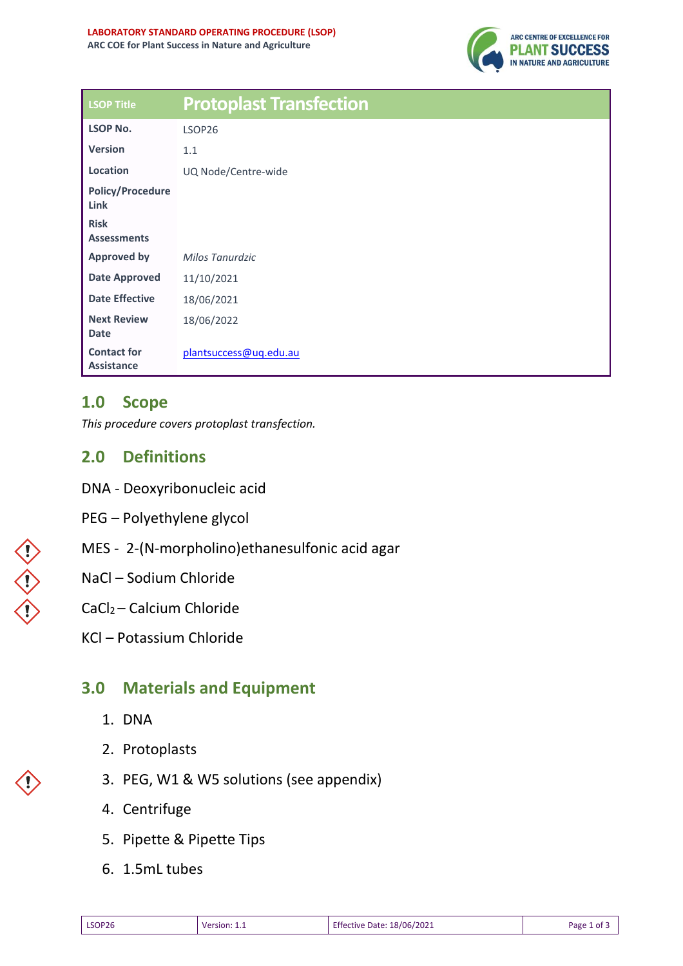

| <b>LSOP Title</b>                       | <b>Protoplast Transfection</b> |
|-----------------------------------------|--------------------------------|
| <b>LSOP No.</b>                         | LSOP26                         |
| <b>Version</b>                          | 1.1                            |
| Location                                | UQ Node/Centre-wide            |
| <b>Policy/Procedure</b><br>Link         |                                |
| <b>Risk</b><br><b>Assessments</b>       |                                |
| <b>Approved by</b>                      | Milos Tanurdzic                |
| <b>Date Approved</b>                    | 11/10/2021                     |
| <b>Date Effective</b>                   | 18/06/2021                     |
| <b>Next Review</b><br><b>Date</b>       | 18/06/2022                     |
| <b>Contact for</b><br><b>Assistance</b> | plantsuccess@uq.edu.au         |

# **1.0 Scope**

*This procedure covers protoplast transfection.*

## **2.0 Definitions**

- DNA Deoxyribonucleic acid
- PEG Polyethylene glycol
- MES 2-(N-morpholino)ethanesulfonic acid agar

#### NaCl – Sodium Chloride

#### CaCl2 – Calcium Chloride

KCl – Potassium Chloride

# **3.0 Materials and Equipment**

- 1. DNA
- 2. Protoplasts
- 3. PEG, W1 & W5 solutions (see appendix)
- 4. Centrifuge
- 5. Pipette & Pipette Tips
- 6. 1.5mL tubes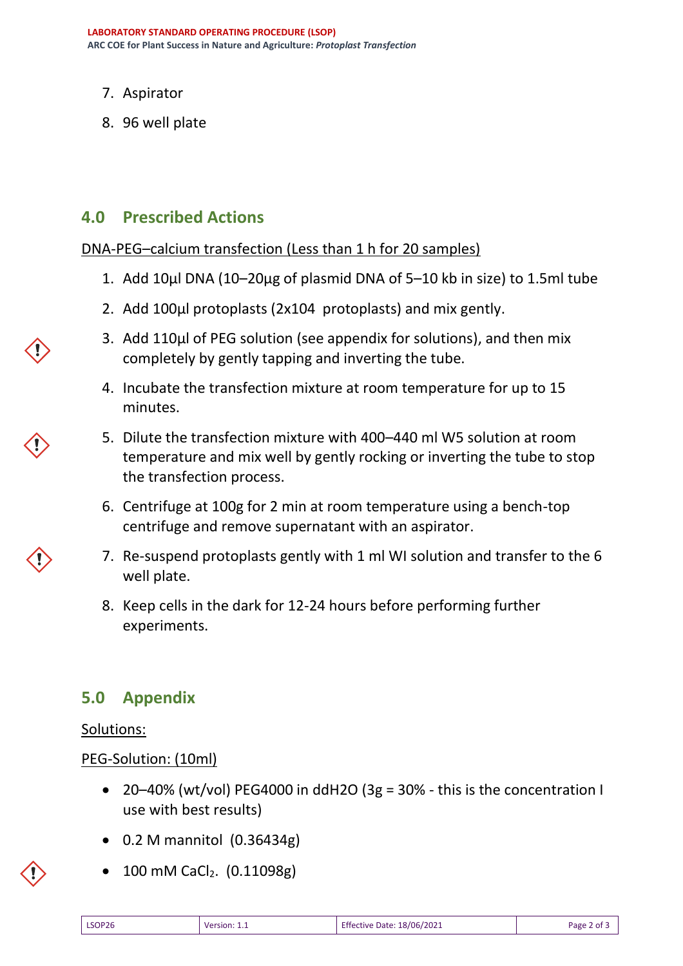- 7. Aspirator
- 8. 96 well plate

## **4.0 Prescribed Actions**

DNA-PEG–calcium transfection (Less than 1 h for 20 samples)

- 1. Add 10µl DNA (10–20µg of plasmid DNA of 5–10 kb in size) to 1.5ml tube
- 2. Add 100µl protoplasts (2x104 protoplasts) and mix gently.
- 3. Add 110µl of PEG solution (see appendix for solutions), and then mix completely by gently tapping and inverting the tube.
- 4. Incubate the transfection mixture at room temperature for up to 15 minutes.
- 5. Dilute the transfection mixture with 400–440 ml W5 solution at room temperature and mix well by gently rocking or inverting the tube to stop the transfection process.
- 6. Centrifuge at 100g for 2 min at room temperature using a bench-top centrifuge and remove supernatant with an aspirator.
- 7. Re-suspend protoplasts gently with 1 ml WI solution and transfer to the 6 well plate.
- 8. Keep cells in the dark for 12-24 hours before performing further experiments.

## **5.0 Appendix**

#### Solutions:

PEG-Solution: (10ml)

- 20–40% (wt/vol) PEG4000 in ddH2O (3g = 30% this is the concentration I use with best results)
- 0.2 M mannitol (0.36434g)
- 100 mM CaCl2. (0.11098g)

| <b>LSOP26</b><br>Version:<br>_____ | .18/06/2021<br>Effective Date: | Page<br>-2 of ≞ |
|------------------------------------|--------------------------------|-----------------|
|------------------------------------|--------------------------------|-----------------|